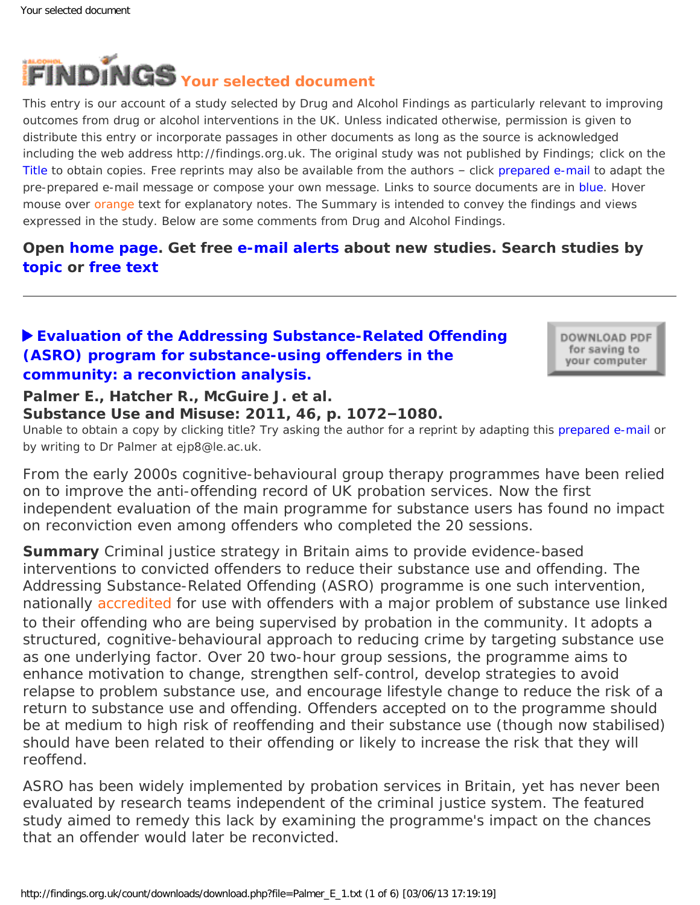<span id="page-0-0"></span>

This entry is our account of a study selected by Drug and Alcohol Findings as particularly relevant to improving outcomes from drug or alcohol interventions in the UK. Unless indicated otherwise, permission is given to distribute this entry or incorporate passages in other documents as long as the source is acknowledged including the web address http://findings.org.uk. The original study was not published by Findings; click on the Title to obtain copies. Free reprints may also be available from the authors – click prepared e-mail to adapt the pre-prepared e-mail message or compose your own message. Links to source documents are in blue. Hover mouse over orange text for explanatory notes. The Summary is intended to convey the findings and views expressed in the study. Below are some comments from Drug and Alcohol Findings.

# **Open [home page](https://findings.org.uk/index.php). Get free [e-mail alerts](https://findings.org.uk/index.php#signUp) about new studies. Search studies by [topic](https://findings.org.uk/topic_search.htm) or [free text](https://findings.org.uk/free_search.htm)**

## **[Evaluation of the Addressing Substance-Related Offending](http://dx.doi.org/10.3109/10826084.2011.559682)  [\(ASRO\) program for substance-using offenders in the](http://dx.doi.org/10.3109/10826084.2011.559682)  [community: a reconviction analysis.](http://dx.doi.org/10.3109/10826084.2011.559682)**

DOWNLOAD PDF for saving to your computer

## **Palmer E., Hatcher R., McGuire J. et al.**

#### **Substance Use and Misuse: 2011, 46, p. 1072–1080.**

Unable to obtain a copy by clicking title? Try asking the author for a reprint by adapting this [prepared e-mail](mailto:ejp8@le.ac.uk?Subject=Reprint%20request&body=Dear Dr Palmer%0A%0AOn the Drug and Alcohol Findings web site (https://findings.org.uk) I read about your article:%0APalmer E., Hatcher R., McGuire J. et al. Evaluation of the Addressing Substance-Related Offending (ASRO) program for substance-using offenders in the community: a reconviction analysis. Substance Use and Misuse: 2011, 46, p. 1072-1080.%0A%0AWould it be possible to for me to be sent a PDF reprint or the manuscript by replying to this e-mail?%0A) or by writing to Dr Palmer at ejp8@le.ac.uk.

*From the early 2000s cognitive-behavioural group therapy programmes have been relied on to improve the anti-offending record of UK probation services. Now the first independent evaluation of the main programme for substance users has found no impact on reconviction even among offenders who completed the 20 sessions.*

**Summary** Criminal justice strategy in Britain aims to provide evidence-based interventions to convicted offenders to reduce their substance use and offending. The Addressing Substance-Related Offending (ASRO) programme is one such intervention, nationally [accredited](#page-0-0) for use with offenders with a major problem of substance use linked to their offending who are being supervised by probation in the community. It adopts a structured, cognitive-behavioural approach to reducing crime by targeting substance use as one underlying factor. Over 20 two-hour group sessions, the programme aims to enhance motivation to change, strengthen self-control, develop strategies to avoid relapse to problem substance use, and encourage lifestyle change to reduce the risk of a return to substance use and offending. Offenders accepted on to the programme should be at medium to high risk of reoffending and their substance use (though now stabilised) should have been related to their offending or likely to increase the risk that they will reoffend.

ASRO has been widely implemented by probation services in Britain, yet has never been evaluated by research teams independent of the criminal justice system. The featured study aimed to remedy this lack by examining the programme's impact on the chances that an offender would later be reconvicted.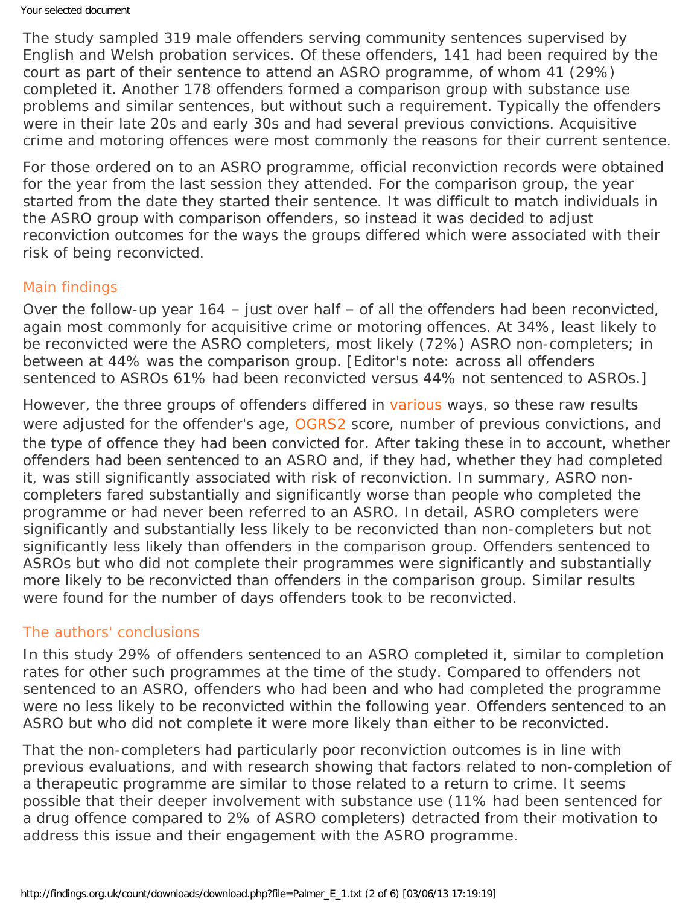The study sampled 319 male offenders serving community sentences supervised by English and Welsh probation services. Of these offenders, 141 had been required by the court as part of their sentence to attend an ASRO programme, of whom 41 (29%) completed it. Another 178 offenders formed a comparison group with substance use problems and similar sentences, but without such a requirement. Typically the offenders were in their late 20s and early 30s and had several previous convictions. Acquisitive crime and motoring offences were most commonly the reasons for their current sentence.

For those ordered on to an ASRO programme, official reconviction records were obtained for the year from the last session they attended. For the comparison group, the year started from the date they started their sentence. It was difficult to match individuals in the ASRO group with comparison offenders, so instead it was decided to adjust reconviction outcomes for the ways the groups differed which were associated with their risk of being reconvicted.

#### Main findings

Over the follow-up year 164 – just over half – of all the offenders had been reconvicted, again most commonly for acquisitive crime or motoring offences. At 34%, least likely to be reconvicted were the ASRO completers, most likely (72%) ASRO non-completers; in between at 44% was the comparison group. [Editor's note: across all offenders sentenced to ASROs 61% had been reconvicted versus 44% not sentenced to ASROs.]

However, the three groups of offenders differed in [various](#page-0-0) ways, so these raw results were adjusted for the offender's age, [OGRS2](#page-0-0) score, number of previous convictions, and the type of offence they had been convicted for. After taking these in to account, whether offenders had been sentenced to an ASRO and, if they had, whether they had completed it, was still significantly associated with risk of reconviction. In summary, ASRO noncompleters fared substantially and significantly worse than people who completed the programme or had never been referred to an ASRO. In detail, ASRO completers were significantly and substantially less likely to be reconvicted than non-completers but *not* significantly less likely than offenders in the comparison group. Offenders sentenced to ASROs but who did not complete their programmes were significantly and substantially more likely to be reconvicted than offenders in the comparison group. Similar results were found for the number of days offenders took to be reconvicted.

#### The authors' conclusions

In this study 29% of offenders sentenced to an ASRO completed it, similar to completion rates for other such programmes at the time of the study. Compared to offenders not sentenced to an ASRO, offenders who had been and who had completed the programme were no less likely to be reconvicted within the following year. Offenders sentenced to an ASRO but who did not complete it were more likely than either to be reconvicted.

That the non-completers had particularly poor reconviction outcomes is in line with previous evaluations, and with research showing that factors related to non-completion of a therapeutic programme are similar to those related to a return to crime. It seems possible that their deeper involvement with substance use (11% had been sentenced for a drug offence compared to 2% of ASRO completers) detracted from their motivation to address this issue and their engagement with the ASRO programme.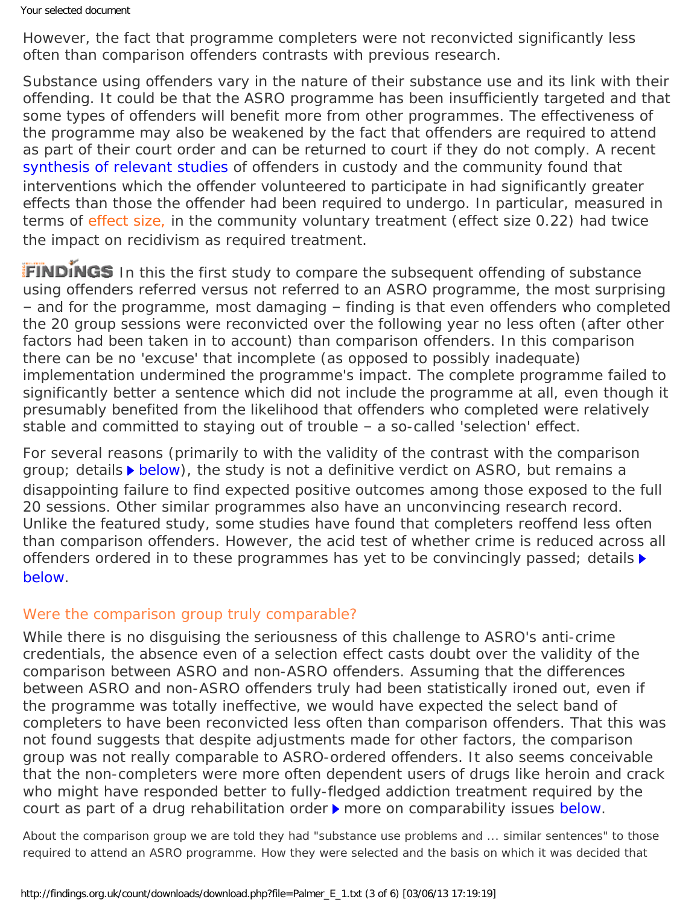Your selected document

However, the fact that programme completers were not reconvicted significantly less often than comparison offenders contrasts with previous research.

Substance using offenders vary in the nature of their substance use and its link with their offending. It could be that the ASRO programme has been insufficiently targeted and that some types of offenders will benefit more from other programmes. The effectiveness of the programme may also be weakened by the fact that offenders are required to attend as part of their court order and can be returned to court if they do not comply. A recent [synthesis of relevant studies](https://findings.org.uk/count/downloads/download.php?file=Parhar_KK_1.txt) of offenders in custody and the community found that interventions which the offender volunteered to participate in had significantly greater effects than those the offender had been required to undergo. In particular, measured in terms of [effect size,](#page-0-0) in the community voluntary treatment (effect size 0.22) had twice the impact on recidivism as required treatment.

FINDINGS In this the first study to compare the subsequent offending of substance using offenders referred versus not referred to an ASRO programme, the most surprising – and for the programme, most damaging – finding is that even offenders who completed the 20 group sessions were reconvicted over the following year no less often (after other factors had been taken in to account) than comparison offenders. In this comparison there can be no 'excuse' that incomplete (as opposed to possibly inadequate) implementation undermined the programme's impact. The complete programme failed to significantly better a sentence which did not include the programme at all, even though it presumably benefited from the likelihood that offenders who completed were relatively stable and committed to staying out of trouble – a so-called 'selection' effect.

For several reasons (primarily to with the validity of the contrast with the comparison group; details  $\blacktriangleright$  [below\)](#page-2-0), the study is not a definitive verdict on ASRO, but remains a disappointing failure to find expected positive outcomes among those exposed to the full 20 sessions. Other similar programmes also have an unconvincing research record. Unlike the featured study, some studies have found that completers reoffend less often than comparison offenders. However, the acid test of whether crime is reduced across *all* offenders ordered in to these programmes has yet to be convincingly passed; details  $\blacktriangleright$ [below](#page-4-0).

## <span id="page-2-0"></span>Were the comparison group truly comparable?

While there is no disguising the seriousness of this challenge to ASRO's anti-crime credentials, the absence even of a selection effect casts doubt over the validity of the comparison between ASRO and non-ASRO offenders. Assuming that the differences between ASRO and non-ASRO offenders truly had been statistically ironed out, even *if* the programme was totally ineffective, we would have expected the select band of completers to have been reconvicted less often than comparison offenders. That this was not found suggests that despite adjustments made for other factors, the comparison group was not really comparable to ASRO-ordered offenders. It also seems conceivable that the non-completers were more often dependent users of drugs like heroin and crack who might have responded better to fully-fledged addiction treatment required by the court as part of a drug rehabilitation order  $\triangleright$  more on comparability issues [below](#page-2-1).

<span id="page-2-1"></span>About the comparison group we are told they had "substance use problems and ... similar sentences" to those required to attend an ASRO programme. How they were selected and the basis on which it was decided that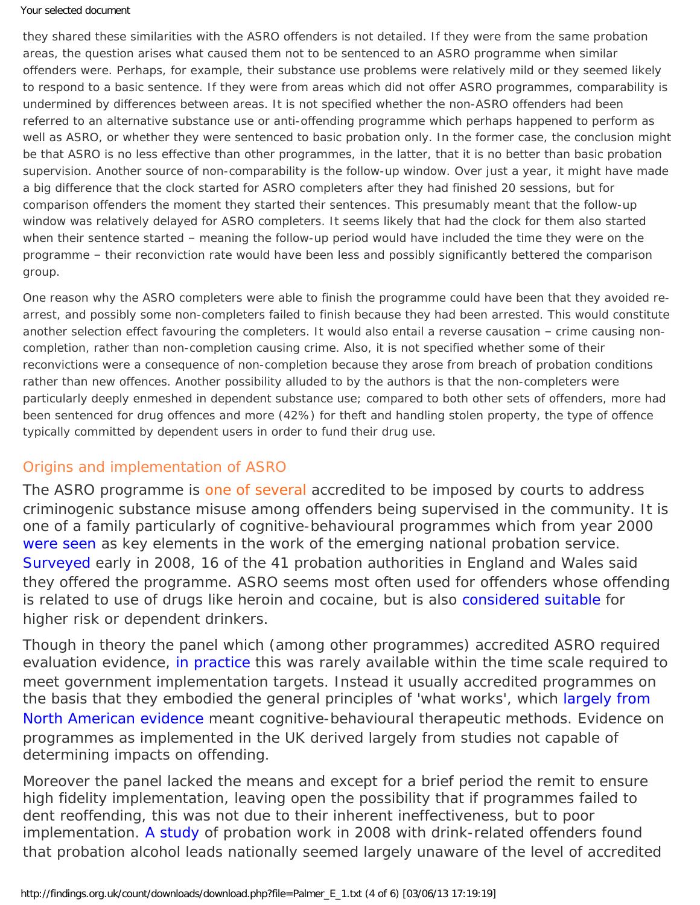#### Your selected document

they shared these similarities with the ASRO offenders is not detailed. If they were from the same probation areas, the question arises what caused them not to be sentenced to an ASRO programme when similar offenders were. Perhaps, for example, their substance use problems were relatively mild or they seemed likely to respond to a basic sentence. If they were from areas which did not offer ASRO programmes, comparability is undermined by differences between areas. It is not specified whether the non-ASRO offenders had been referred to an alternative substance use or anti-offending programme which perhaps happened to perform as well as ASRO, or whether they were sentenced to basic probation only. In the former case, the conclusion might be that ASRO is *no less* effective than other programmes, in the latter, that it is no better than basic probation supervision. Another source of non-comparability is the follow-up window. Over just a year, it might have made a big difference that the clock started for ASRO completers after they had finished 20 sessions, but for comparison offenders the moment they started their sentences. This presumably meant that the follow-up window was relatively delayed for ASRO completers. It seems likely that had the clock for them also started when their sentence started – meaning the follow-up period would have included the time they were on the programme – their reconviction rate would have been less and possibly significantly bettered the comparison group.

One reason why the ASRO completers were able to finish the programme could have been that they avoided rearrest, and possibly some non-completers failed to finish because they had been arrested. This would constitute another selection effect favouring the completers. It would also entail a *reverse* causation – crime causing noncompletion, rather than non-completion causing crime. Also, it is not specified whether some of their reconvictions were a *consequence* of non-completion because they arose from breach of probation conditions rather than new offences. Another possibility alluded to by the authors is that the non-completers were particularly deeply enmeshed in dependent substance use; compared to both other sets of offenders, more had been sentenced for drug offences and more (42%) for theft and handling stolen property, the type of offence typically committed by dependent users in order to fund their drug use.

## Origins and implementation of ASRO

The ASRO programme is [one of several](#page-0-0) accredited to be imposed by courts to address criminogenic substance misuse among offenders being supervised in the community. It is one of a family particularly of cognitive-behavioural programmes which from year 2000 [were seen](http://dx.doi.org/10.1177/0264550509104073) as key elements in the work of the emerging national probation service. [Surveyed](https://findings.org.uk/count/downloads/download.php?file=McSweeney_T_8.txt) early in 2008, 16 of the 41 probation authorities in England and Wales said they offered the programme. ASRO seems most often used for offenders whose offending is related to use of drugs like heroin and cocaine, but is also [considered suitable](http://www.alcoholpolicy.net/2010/02/noms-alcohol-interventions-guidance-.html) for higher risk or dependent drinkers.

Though in theory the panel which (among other programmes) accredited ASRO required evaluation evidence, [in practice](http://dx.doi.org/10.1177/1748895809352651) this was rarely available within the time scale required to meet government implementation targets. Instead it usually accredited programmes on the basis that they embodied the general principles of 'what works', which [largely from](http://webarchive.nationalarchives.gov.uk/20110218135832/http:/rds.homeoffice.gov.uk/rds/pdfs04/hors291.pdf) [North American evidence](http://webarchive.nationalarchives.gov.uk/20110218135832/http:/rds.homeoffice.gov.uk/rds/pdfs04/hors291.pdf) meant cognitive-behavioural therapeutic methods. Evidence on programmes as implemented in the UK derived largely from studies not capable of determining impacts on offending.

Moreover the panel lacked the means and except for a brief period the remit to ensure high fidelity implementation, leaving open the possibility that if programmes failed to dent reoffending, this was not due to their inherent ineffectiveness, but to poor implementation. [A study](https://findings.org.uk/count/downloads/download.php?file=McSweeney_T_8.txt) of probation work in 2008 with drink-related offenders found that probation alcohol leads nationally seemed largely unaware of the level of accredited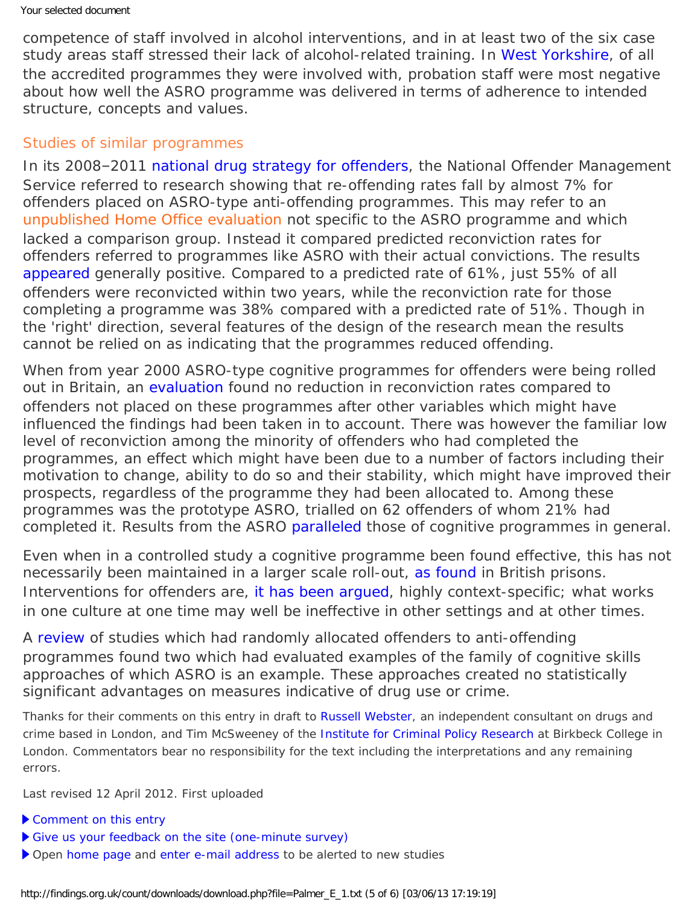competence of staff involved in alcohol interventions, and in at least two of the six case study areas staff stressed their lack of alcohol-related training. In [West Yorkshire,](http://www.westyorksprobation.org.uk/deliverfile.php?id=18) of all the accredited programmes they were involved with, probation staff were most negative about how well the ASRO programme was delivered in terms of adherence to intended structure, concepts and values.

#### <span id="page-4-0"></span>Studies of similar programmes

In its 2008-2011 [national drug strategy for offenders](http://www.cjp.org.uk/publications/archive/national-offender-management-service-drug-strategy-2008-2011/?locale=en), the National Offender Management Service referred to research showing that re-offending rates fall by almost 7% for offenders placed on ASRO-type anti-offending programmes. This may refer to an [unpublished Home Office evaluation](#page-0-0) not specific to the ASRO programme and which lacked a comparison group. Instead it compared predicted reconviction rates for offenders referred to programmes like ASRO with their actual convictions. The results [appeared](http://dx.doi.org/10.1177/0264550509104073) generally positive. Compared to a predicted rate of 61%, just 55% of all offenders were reconvicted within two years, while the reconviction rate for those completing a programme was 38% compared with a predicted rate of 51%. Though in the 'right' direction, several features of the design of the research mean the results cannot be relied on as indicating that the programmes reduced offending.

When from year 2000 ASRO-type cognitive programmes for offenders were being rolled out in Britain, an [evaluation](http://webarchive.nationalarchives.gov.uk/20101208190052/http://rds.homeoffice.gov.uk/rds/pdfs04/rdsolr6604.pdf) found no reduction in reconviction rates compared to offenders not placed on these programmes after other variables which might have influenced the findings had been taken in to account. There was however the familiar low level of reconviction among the minority of offenders who had completed the programmes, an effect which might have been due to a number of factors including their motivation to change, ability to do so and their stability, which might have improved their prospects, regardless of the programme they had been allocated to. Among these programmes was the prototype ASRO, trialled on 62 offenders of whom 21% had completed it. Results from the ASRO [paralleled](http://dx.doi.org/10.1002/cbm.662) those of cognitive programmes in general.

Even when in a controlled study a cognitive programme been found effective, this has not necessarily been maintained in a larger scale roll-out, [as found](http://dx.doi.org/10.1177/1748895809352597) in British prisons. Interventions for offenders are, [it has been argued](http://dx.doi.org/10.1177/1748895809352597), highly context-specific; what works in one culture at one time may well be ineffective in other settings and at other times.

A [review](http://dx.doi.org/10.1002/14651858.CD005193.pub2) of studies which had randomly allocated offenders to anti-offending programmes found two which had evaluated examples of the family of cognitive skills approaches of which ASRO is an example. These approaches created no statistically significant advantages on measures indicative of drug use or crime.

*Thanks for their comments on this entry in draft to [Russell Webster,](http://www.russellwebster.com/) an independent consultant on drugs and crime based in London, and Tim McSweeney of the [Institute for Criminal Policy Research](http://www.icpr.org.uk/) at Birkbeck College in London. Commentators bear no responsibility for the text including the interpretations and any remaining errors.*

Last revised 12 April 2012. First uploaded

- [Comment on this entry](mailto:editor@findings.org.uk?Subject=Findings%20entry:%20Evaluation%20of%20the%20Addressing%20Substance-Related%20Offending%20(ASRO)%20program%20for%20substance-using%20offenders%20in%20the%20community:%20a%20reconviction%20analysis)
- [Give us your feedback on the site \(one-minute survey\)](https://www.surveymonkey.com/s/EB_2012)
- Open [home page](https://findings.org.uk/index.php) and [enter e-mail address](https://findings.org.uk/index.php#signUp) to be alerted to new studies